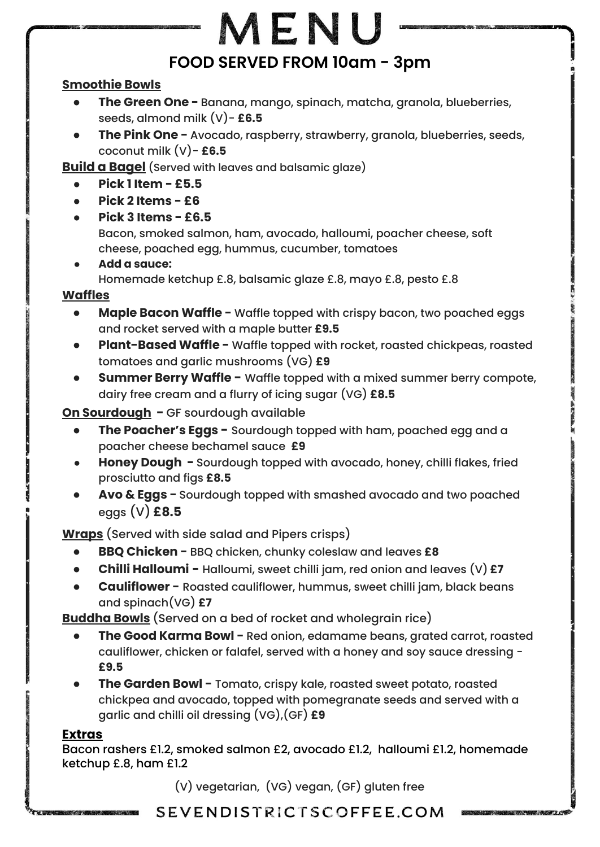# MENU **FOOD SERVED FROM 10am - 3pm**

#### **Smoothie Bowls**

- **The Green One -** Banana, mango, spinach, matcha, granola, blueberries, seeds, almond milk (V)- **£6.5**
- **The Pink One -** Avocado, raspberry, strawberry, granola, blueberries, seeds, coconut milk (V)- **£6.5**

**Build a Bagel** (Served with leaves and balsamic glaze)

- **● Pick 1 Item £5.5**
- **● Pick 2 Items £6**
- **● Pick 3 Items £6.5**

Bacon, smoked salmon, ham, avocado, halloumi, poacher cheese, soft cheese, poached egg, hummus, cucumber, tomatoes

**● Add a sauce:** Homemade ketchup £.8, balsamic glaze £.8, mayo £.8, pesto £.8

#### **Waffles**

- **● Maple Bacon Waffle** Waffle topped with crispy bacon, two poached eggs and rocket served with a maple butter **£9.5**
- **Plant-Based Waffle -** Waffle topped with rocket, roasted chickpeas, roasted tomatoes and garlic mushrooms (VG) **£9**
- **Summer Berry Waffle** Waffle topped with a mixed summer berry compote, dairy free cream and a flurry of icing sugar (VG) **£8.5**

**On Sourdough -** GF sourdough available

- **The Poacher's Eggs -** Sourdough topped with ham, poached egg and a poacher cheese bechamel sauce **£9**
- **Honey Dough -** Sourdough topped with avocado, honey, chilli flakes, fried prosciutto and figs **£8.5**
- **Avo & Eggs** Sourdough topped with smashed avocado and two poached eggs (V) **£8.5**

**Wraps** (Served with side salad and Pipers crisps)

- **BBQ Chicken -** BBQ chicken, chunky coleslaw and leaves **£8**
- **Chilli Halloumi -** Halloumi, sweet chilli jam, red onion and leaves (V) **£7**
- **Cauliflower -** Roasted cauliflower, hummus, sweet chilli jam, black beans and spinach(VG) **£7**

**Buddha Bowls** (Served on a bed of rocket and wholegrain rice)

- **The Good Karma Bowl -** Red onion, edamame beans, grated carrot, roasted cauliflower, chicken or falafel, served with a honey and soy sauce dressing - **£9.5**
- **The Garden Bowl -** Tomato, crispy kale, roasted sweet potato, roasted chickpea and avocado, topped with pomegranate seeds and served with a garlic and chilli oil dressing (VG),(GF) **£9**

#### **Extras**

Bacon rashers £1.2, smoked salmon £2, avocado £1.2, halloumi £1.2, homemade ketchup £.8, ham £1.2

(V) vegetarian, (VG) vegan, (GF) gluten free

# SEVENDISTRICTSCOFFEE.COM